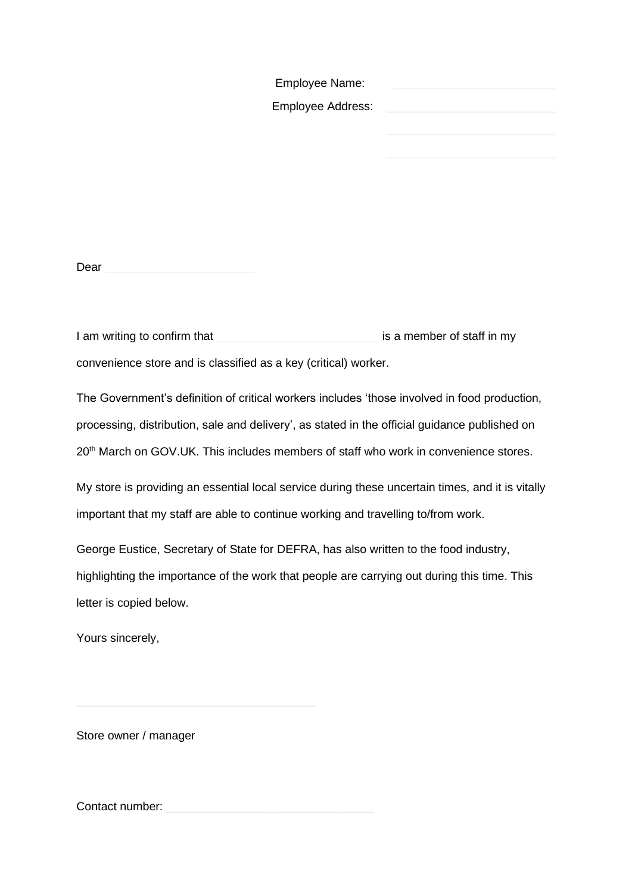| Employee Name:    |  |
|-------------------|--|
| Employee Address: |  |
|                   |  |

Dear

I am writing to confirm that **Washing to a member of staff in my** convenience store and is classified as a key (critical) worker.

The Government's definition of critical workers includes 'those involved in food production, processing, distribution, sale and delivery', as stated in the official guidance published on 20<sup>th</sup> March on GOV.UK. This includes members of staff who work in convenience stores.

My store is providing an essential local service during these uncertain times, and it is vitally important that my staff are able to continue working and travelling to/from work.

George Eustice, Secretary of State for DEFRA, has also written to the food industry, highlighting the importance of the work that people are carrying out during this time. This letter is copied below.

Yours sincerely,

Store owner / manager

Contact number: